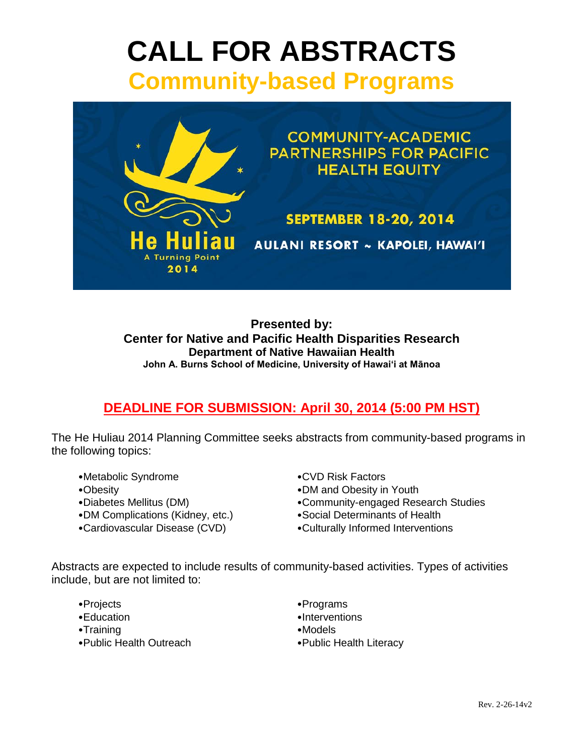# **CALL FOR ABSTRACTS Community-based Programs**



**Presented by: Center for Native and Pacific Health Disparities Research Department of Native Hawaiian Health John A. Burns School of Medicine, University of Hawai'i at Mānoa**

# **DEADLINE FOR SUBMISSION: April 30, 2014 (5:00 PM HST)**

The He Huliau 2014 Planning Committee seeks abstracts from community-based programs in the following topics:

- •Metabolic Syndrome •CVD Risk Factors
- 
- 
- •DM Complications (Kidney, etc.) •Social Determinants of Health
- 
- 
- •Obesity •DM and Obesity in Youth
- •Diabetes Mellitus (DM) •Community-engaged Research Studies
	-
- •Cardiovascular Disease (CVD) •Culturally Informed Interventions

Abstracts are expected to include results of community-based activities. Types of activities include, but are not limited to:

- 
- 
- •Training •Models
- •Public Health Outreach •Public Health Literacy
- •Projects **Programs**
- •Education enterventions
	-
	-